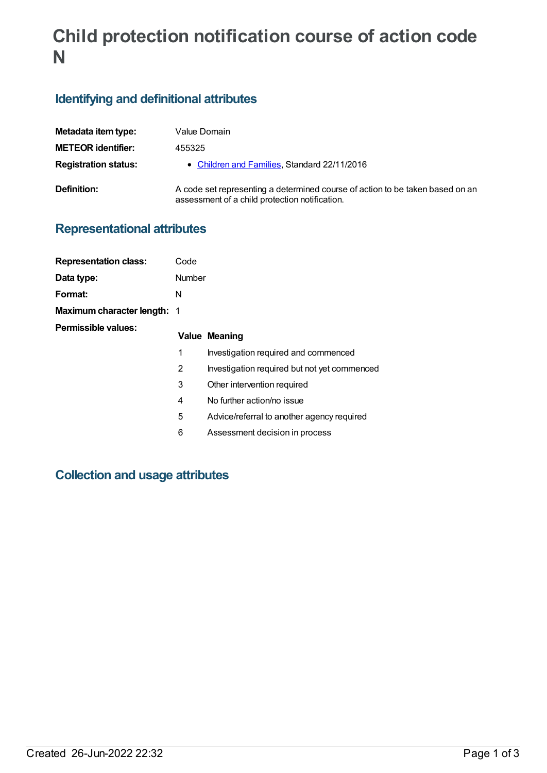# **Child protection notification course of action code N**

## **Identifying and definitional attributes**

| Metadata item type:         | Value Domain                                                                                                                    |
|-----------------------------|---------------------------------------------------------------------------------------------------------------------------------|
| <b>METEOR identifier:</b>   | 455325                                                                                                                          |
| <b>Registration status:</b> | • Children and Families, Standard 22/11/2016                                                                                    |
| Definition:                 | A code set representing a determined course of action to be taken based on an<br>assessment of a child protection notification. |

### **Representational attributes**

| <b>Representation class:</b>       | Code   |                                              |
|------------------------------------|--------|----------------------------------------------|
| Data type:                         | Number |                                              |
| Format:                            | N      |                                              |
| <b>Maximum character length: 1</b> |        |                                              |
| Permissible values:                |        | Value Meaning                                |
|                                    | 1      | Investigation required and commenced         |
|                                    | 2      | Investigation required but not yet commenced |
|                                    | 3      | Other intervention required                  |
|                                    | 4      | No further action/no issue                   |
|                                    | 5      | Advice/referral to another agency required   |
|                                    | 6      | Assessment decision in process               |
|                                    |        |                                              |

### **Collection and usage attributes**